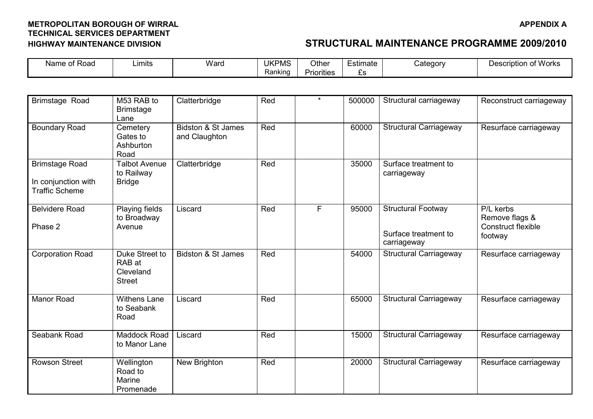| Name of Road                                                          | Limits                                                 | Ward                                | <b>UKPMS</b><br>Ranking | Other<br><b>Priorities</b> | <b>Estimate</b><br>£s | Category                                                         | <b>Description of Works</b>                                         |
|-----------------------------------------------------------------------|--------------------------------------------------------|-------------------------------------|-------------------------|----------------------------|-----------------------|------------------------------------------------------------------|---------------------------------------------------------------------|
|                                                                       |                                                        |                                     |                         |                            |                       |                                                                  |                                                                     |
| Brimstage Road                                                        | M53 RAB to<br><b>Brimstage</b><br>Lane                 | Clatterbridge                       | Red                     | $\star$                    | 500000                | Structural carriageway                                           | Reconstruct carriageway                                             |
| <b>Boundary Road</b>                                                  | Cemetery<br>Gates to<br>Ashburton<br>Road              | Bidston & St James<br>and Claughton | Red                     |                            | 60000                 | <b>Structural Carriageway</b>                                    | Resurface carriageway                                               |
| <b>Brimstage Road</b><br>In conjunction with<br><b>Traffic Scheme</b> | <b>Talbot Avenue</b><br>to Railway<br><b>Bridge</b>    | Clatterbridge                       | Red                     |                            | 35000                 | Surface treatment to<br>carriageway                              |                                                                     |
| <b>Belvidere Road</b><br>Phase 2                                      | Playing fields<br>to Broadway<br>Avenue                | Liscard                             | Red                     | F                          | 95000                 | <b>Structural Footway</b><br>Surface treatment to<br>carriageway | P/L kerbs<br>Remove flags &<br><b>Construct flexible</b><br>footway |
| <b>Corporation Road</b>                                               | Duke Street to<br>RAB at<br>Cleveland<br><b>Street</b> | Bidston & St James                  | Red                     |                            | 54000                 | <b>Structural Carriageway</b>                                    | Resurface carriageway                                               |
| Manor Road                                                            | <b>Withens Lane</b><br>to Seabank<br>Road              | Liscard                             | Red                     |                            | 65000                 | <b>Structural Carriageway</b>                                    | Resurface carriageway                                               |
| Seabank Road                                                          | Maddock Road<br>to Manor Lane                          | Liscard                             | Red                     |                            | 15000                 | <b>Structural Carriageway</b>                                    | Resurface carriageway                                               |
| <b>Rowson Street</b>                                                  | Wellington<br>Road to<br>Marine<br>Promenade           | New Brighton                        | Red                     |                            | 20000                 | <b>Structural Carriageway</b>                                    | Resurface carriageway                                               |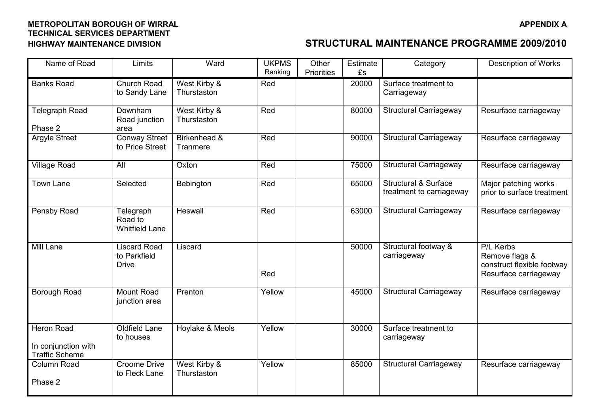| Name of Road                                                      | Limits                                              | Ward                        | <b>UKPMS</b><br>Ranking | Other<br><b>Priorities</b> | Estimate<br>£s | Category                                                    | <b>Description of Works</b>                                                        |
|-------------------------------------------------------------------|-----------------------------------------------------|-----------------------------|-------------------------|----------------------------|----------------|-------------------------------------------------------------|------------------------------------------------------------------------------------|
| <b>Banks Road</b>                                                 | Church Road<br>to Sandy Lane                        | West Kirby &<br>Thurstaston | Red                     |                            | 20000          | Surface treatment to<br>Carriageway                         |                                                                                    |
| Telegraph Road<br>Phase 2                                         | Downham<br>Road junction<br>area                    | West Kirby &<br>Thurstaston | Red                     |                            | 80000          | <b>Structural Carriageway</b>                               | Resurface carriageway                                                              |
| Argyle Street                                                     | <b>Conway Street</b><br>to Price Street             | Birkenhead &<br>Tranmere    | Red                     |                            | 90000          | <b>Structural Carriageway</b>                               | Resurface carriageway                                                              |
| Village Road                                                      | All                                                 | Oxton                       | Red                     |                            | 75000          | <b>Structural Carriageway</b>                               | Resurface carriageway                                                              |
| <b>Town Lane</b>                                                  | Selected                                            | Bebington                   | Red                     |                            | 65000          | <b>Structural &amp; Surface</b><br>treatment to carriageway | Major patching works<br>prior to surface treatment                                 |
| Pensby Road                                                       | Telegraph<br>Road to<br><b>Whitfield Lane</b>       | Heswall                     | Red                     |                            | 63000          | <b>Structural Carriageway</b>                               | Resurface carriageway                                                              |
| Mill Lane                                                         | <b>Liscard Road</b><br>to Parkfield<br><b>Drive</b> | Liscard                     | Red                     |                            | 50000          | Structural footway &<br>carriageway                         | P/L Kerbs<br>Remove flags &<br>construct flexible footway<br>Resurface carriageway |
| Borough Road                                                      | Mount Road<br>junction area                         | Prenton                     | Yellow                  |                            | 45000          | <b>Structural Carriageway</b>                               | Resurface carriageway                                                              |
| <b>Heron Road</b><br>In conjunction with<br><b>Traffic Scheme</b> | Oldfield Lane<br>to houses                          | Hoylake & Meols             | Yellow                  |                            | 30000          | Surface treatment to<br>carriageway                         |                                                                                    |
| Column Road<br>Phase 2                                            | <b>Croome Drive</b><br>to Fleck Lane                | West Kirby &<br>Thurstaston | Yellow                  |                            | 85000          | <b>Structural Carriageway</b>                               | Resurface carriageway                                                              |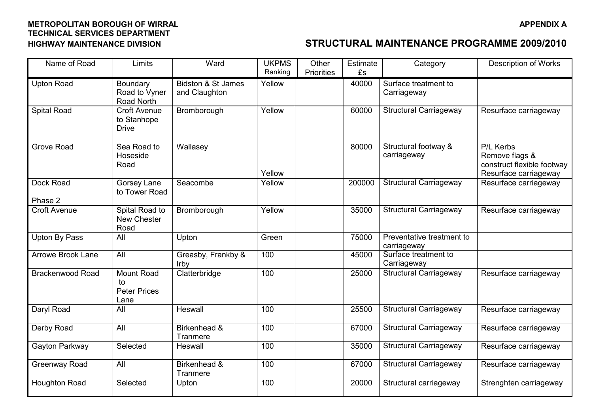| Name of Road             | Limits                                             | Ward                                           | <b>UKPMS</b><br>Ranking | Other<br><b>Priorities</b> | Estimate<br>£s | Category                                 | <b>Description of Works</b>                                                        |
|--------------------------|----------------------------------------------------|------------------------------------------------|-------------------------|----------------------------|----------------|------------------------------------------|------------------------------------------------------------------------------------|
| <b>Upton Road</b>        | Boundary<br>Road to Vyner<br>Road North            | <b>Bidston &amp; St James</b><br>and Claughton | Yellow                  |                            | 40000          | Surface treatment to<br>Carriageway      |                                                                                    |
| <b>Spital Road</b>       | <b>Croft Avenue</b><br>to Stanhope<br><b>Drive</b> | Bromborough                                    | Yellow                  |                            | 60000          | Structural Carriageway                   | Resurface carriageway                                                              |
| <b>Grove Road</b>        | Sea Road to<br>Hoseside<br>Road                    | Wallasey                                       | Yellow                  |                            | 80000          | Structural footway &<br>carriageway      | P/L Kerbs<br>Remove flags &<br>construct flexible footway<br>Resurface carriageway |
| Dock Road<br>Phase 2     | Gorsey Lane<br>to Tower Road                       | Seacombe                                       | Yellow                  |                            | 200000         | <b>Structural Carriageway</b>            | Resurface carriageway                                                              |
| <b>Croft Avenue</b>      | Spital Road to<br>New Chester<br>Road              | Bromborough                                    | Yellow                  |                            | 35000          | <b>Structural Carriageway</b>            | Resurface carriageway                                                              |
| <b>Upton By Pass</b>     | All                                                | Upton                                          | Green                   |                            | 75000          | Preventative treatment to<br>carriageway |                                                                                    |
| <b>Arrowe Brook Lane</b> | All                                                | Greasby, Frankby &<br>Irby                     | 100                     |                            | 45000          | Surface treatment to<br>Carriageway      |                                                                                    |
| <b>Brackenwood Road</b>  | Mount Road<br>to<br><b>Peter Prices</b><br>Lane    | Clatterbridge                                  | 100                     |                            | 25000          | <b>Structural Carriageway</b>            | Resurface carriageway                                                              |
| Daryl Road               | All                                                | Heswall                                        | 100                     |                            | 25500          | <b>Structural Carriageway</b>            | Resurface carriageway                                                              |
| Derby Road               | All                                                | Birkenhead &<br>Tranmere                       | 100                     |                            | 67000          | <b>Structural Carriageway</b>            | Resurface carriageway                                                              |
| Gayton Parkway           | Selected                                           | Heswall                                        | 100                     |                            | 35000          | <b>Structural Carriageway</b>            | Resurface carriageway                                                              |
| Greenway Road            | All                                                | Birkenhead &<br>Tranmere                       | 100                     |                            | 67000          | <b>Structural Carriageway</b>            | Resurface carriageway                                                              |
| <b>Houghton Road</b>     | Selected                                           | Upton                                          | 100                     |                            | 20000          | Structural carriageway                   | Strenghten carriageway                                                             |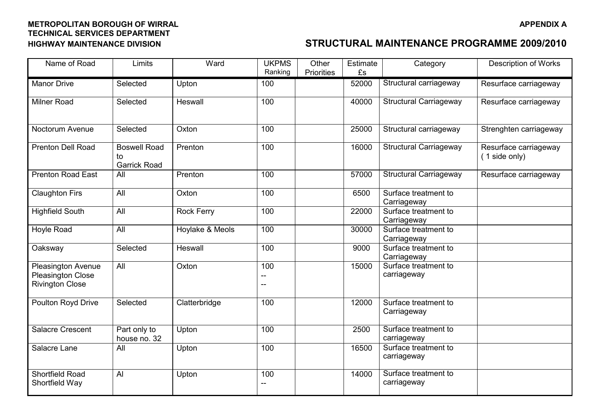| Name of Road                                                                    | Limits                                    | Ward              | <b>UKPMS</b><br>Ranking | Other<br><b>Priorities</b> | Estimate<br>£s | Category                            | <b>Description of Works</b>            |
|---------------------------------------------------------------------------------|-------------------------------------------|-------------------|-------------------------|----------------------------|----------------|-------------------------------------|----------------------------------------|
| <b>Manor Drive</b>                                                              | Selected                                  | Upton             | 100                     |                            | 52000          | Structural carriageway              | Resurface carriageway                  |
| <b>Milner Road</b>                                                              | Selected                                  | Heswall           | 100                     |                            | 40000          | <b>Structural Carriageway</b>       | Resurface carriageway                  |
| Noctorum Avenue                                                                 | Selected                                  | Oxton             | 100                     |                            | 25000          | Structural carriageway              | Strenghten carriageway                 |
| <b>Prenton Dell Road</b>                                                        | <b>Boswell Road</b><br>to<br>Garrick Road | Prenton           | 100                     |                            | 16000          | <b>Structural Carriageway</b>       | Resurface carriageway<br>(1 side only) |
| <b>Prenton Road East</b>                                                        | All                                       | Prenton           | 100                     |                            | 57000          | <b>Structural Carriageway</b>       | Resurface carriageway                  |
| <b>Claughton Firs</b>                                                           | All                                       | Oxton             | 100                     |                            | 6500           | Surface treatment to<br>Carriageway |                                        |
| <b>Highfield South</b>                                                          | $\overline{All}$                          | <b>Rock Ferry</b> | 100                     |                            | 22000          | Surface treatment to<br>Carriageway |                                        |
| Hoyle Road                                                                      | All                                       | Hoylake & Meols   | 100                     |                            | 30000          | Surface treatment to<br>Carriageway |                                        |
| Oaksway                                                                         | Selected                                  | Heswall           | 100                     |                            | 9000           | Surface treatment to<br>Carriageway |                                        |
| <b>Pleasington Avenue</b><br><b>Pleasington Close</b><br><b>Rivington Close</b> | All                                       | Oxton             | 100<br>--               |                            | 15000          | Surface treatment to<br>carriageway |                                        |
| <b>Poulton Royd Drive</b>                                                       | Selected                                  | Clatterbridge     | 100                     |                            | 12000          | Surface treatment to<br>Carriageway |                                        |
| <b>Salacre Crescent</b>                                                         | Part only to<br>house no. 32              | Upton             | 100                     |                            | 2500           | Surface treatment to<br>carriageway |                                        |
| Salacre Lane                                                                    | All                                       | Upton             | 100                     |                            | 16500          | Surface treatment to<br>carriageway |                                        |
| Shortfield Road<br>Shortfield Way                                               | $\overline{A}$                            | Upton             | 100<br>$\overline{a}$   |                            | 14000          | Surface treatment to<br>carriageway |                                        |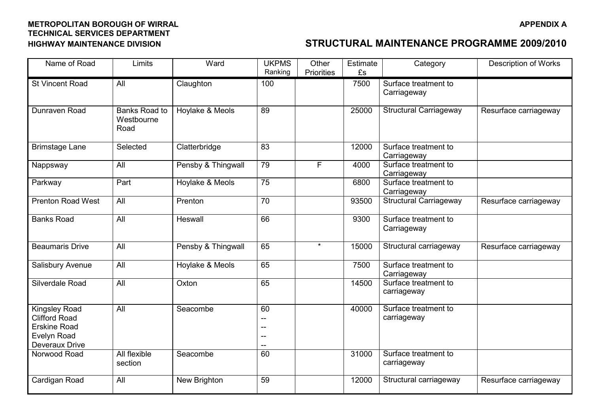| Name of Road                                                                                         | Limits                                     | Ward               | <b>UKPMS</b><br>Ranking | Other<br><b>Priorities</b> | Estimate<br>£s | Category                            | <b>Description of Works</b> |
|------------------------------------------------------------------------------------------------------|--------------------------------------------|--------------------|-------------------------|----------------------------|----------------|-------------------------------------|-----------------------------|
| <b>St Vincent Road</b>                                                                               | All                                        | Claughton          | 100                     |                            | 7500           | Surface treatment to<br>Carriageway |                             |
| Dunraven Road                                                                                        | <b>Banks Road to</b><br>Westbourne<br>Road | Hoylake & Meols    | 89                      |                            | 25000          | <b>Structural Carriageway</b>       | Resurface carriageway       |
| <b>Brimstage Lane</b>                                                                                | Selected                                   | Clatterbridge      | 83                      |                            | 12000          | Surface treatment to<br>Carriageway |                             |
| Nappsway                                                                                             | All                                        | Pensby & Thingwall | 79                      | F.                         | 4000           | Surface treatment to<br>Carriageway |                             |
| Parkway                                                                                              | Part                                       | Hoylake & Meols    | 75                      |                            | 6800           | Surface treatment to<br>Carriageway |                             |
| <b>Prenton Road West</b>                                                                             | All                                        | Prenton            | $\overline{70}$         |                            | 93500          | <b>Structural Carriageway</b>       | Resurface carriageway       |
| <b>Banks Road</b>                                                                                    | All                                        | Heswall            | 66                      |                            | 9300           | Surface treatment to<br>Carriageway |                             |
| <b>Beaumaris Drive</b>                                                                               | All                                        | Pensby & Thingwall | 65                      | $\star$                    | 15000          | Structural carriageway              | Resurface carriageway       |
| Salisbury Avenue                                                                                     | All                                        | Hoylake & Meols    | 65                      |                            | 7500           | Surface treatment to<br>Carriageway |                             |
| Silverdale Road                                                                                      | All                                        | Oxton              | 65                      |                            | 14500          | Surface treatment to<br>carriageway |                             |
| <b>Kingsley Road</b><br><b>Clifford Road</b><br><b>Erskine Road</b><br>Evelyn Road<br>Deveraux Drive | All                                        | Seacombe           | 60<br>--<br>--<br>--    |                            | 40000          | Surface treatment to<br>carriageway |                             |
| Norwood Road                                                                                         | All flexible<br>section                    | Seacombe           | 60                      |                            | 31000          | Surface treatment to<br>carriageway |                             |
| Cardigan Road                                                                                        | All                                        | New Brighton       | 59                      |                            | 12000          | Structural carriageway              | Resurface carriageway       |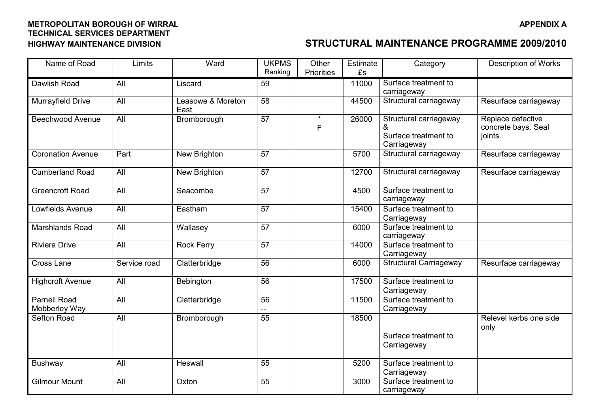| Name of Road                         | Limits       | Ward                      | <b>UKPMS</b><br>Ranking | Other<br>Priorities | Estimate<br>£s | Category                                                           | <b>Description of Works</b>                         |
|--------------------------------------|--------------|---------------------------|-------------------------|---------------------|----------------|--------------------------------------------------------------------|-----------------------------------------------------|
| Dawlish Road                         | All          | Liscard                   | 59                      |                     | 11000          | Surface treatment to<br>carriageway                                |                                                     |
| Murrayfield Drive                    | All          | Leasowe & Moreton<br>East | 58                      |                     | 44500          | Structural carriageway                                             | Resurface carriageway                               |
| <b>Beechwood Avenue</b>              | All          | Bromborough               | $\overline{57}$         | $\star$<br>F        | 26000          | Structural carriageway<br>&<br>Surface treatment to<br>Carriageway | Replace defective<br>concrete bays. Seal<br>joints. |
| <b>Coronation Avenue</b>             | Part         | New Brighton              | 57                      |                     | 5700           | Structural carriageway                                             | Resurface carriageway                               |
| Cumberland Road                      | All          | New Brighton              | 57                      |                     | 12700          | Structural carriageway                                             | Resurface carriageway                               |
| <b>Greencroft Road</b>               | All          | Seacombe                  | 57                      |                     | 4500           | Surface treatment to<br>carriageway                                |                                                     |
| Lowfields Avenue                     | All          | Eastham                   | 57                      |                     | 15400          | Surface treatment to<br>Carriageway                                |                                                     |
| Marshlands Road                      | All          | Wallasey                  | 57                      |                     | 6000           | Surface treatment to<br>carriageway                                |                                                     |
| <b>Riviera Drive</b>                 | All          | <b>Rock Ferry</b>         | 57                      |                     | 14000          | Surface treatment to<br>Carriageway                                |                                                     |
| <b>Cross Lane</b>                    | Service road | Clatterbridge             | 56                      |                     | 6000           | <b>Structural Carriageway</b>                                      | Resurface carriageway                               |
| <b>Highcroft Avenue</b>              | All          | Bebington                 | 56                      |                     | 17500          | Surface treatment to<br>Carriageway                                |                                                     |
| <b>Parnell Road</b><br>Mobberley Way | All          | Clatterbridge             | 56                      |                     | 11500          | Surface treatment to<br>Carriageway                                |                                                     |
| <b>Sefton Road</b>                   | All          | Bromborough               | 55                      |                     | 18500          | Surface treatment to<br>Carriageway                                | Relevel kerbs one side<br>only                      |
| Bushway                              | All          | Heswall                   | 55                      |                     | 5200           | Surface treatment to<br>Carriageway                                |                                                     |
| <b>Gilmour Mount</b>                 | All          | Oxton                     | 55                      |                     | 3000           | Surface treatment to<br>carriageway                                |                                                     |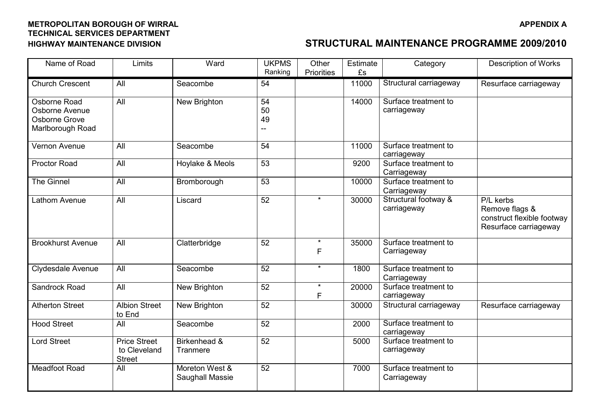| Name of Road                                                        | Limits                                               | Ward                              | <b>UKPMS</b><br>Ranking | Other<br><b>Priorities</b> | Estimate<br>£s | Category                            | <b>Description of Works</b>                                                        |
|---------------------------------------------------------------------|------------------------------------------------------|-----------------------------------|-------------------------|----------------------------|----------------|-------------------------------------|------------------------------------------------------------------------------------|
| <b>Church Crescent</b>                                              | All                                                  | Seacombe                          | 54                      |                            | 11000          | Structural carriageway              | Resurface carriageway                                                              |
| Osborne Road<br>Osborne Avenue<br>Osborne Grove<br>Marlborough Road | All                                                  | New Brighton                      | 54<br>50<br>49          |                            | 14000          | Surface treatment to<br>carriageway |                                                                                    |
| Vernon Avenue                                                       | All                                                  | Seacombe                          | 54                      |                            | 11000          | Surface treatment to<br>carriageway |                                                                                    |
| <b>Proctor Road</b>                                                 | All                                                  | Hoylake & Meols                   | $\overline{53}$         |                            | 9200           | Surface treatment to<br>Carriageway |                                                                                    |
| <b>The Ginnel</b>                                                   | All                                                  | Bromborough                       | 53                      |                            | 10000          | Surface treatment to<br>Carriageway |                                                                                    |
| Lathom Avenue                                                       | All                                                  | Liscard                           | 52                      | $\star$                    | 30000          | Structural footway &<br>carriageway | P/L kerbs<br>Remove flags &<br>construct flexible footway<br>Resurface carriageway |
| <b>Brookhurst Avenue</b>                                            | All                                                  | Clatterbridge                     | 52                      | $\star$<br>F               | 35000          | Surface treatment to<br>Carriageway |                                                                                    |
| Clydesdale Avenue                                                   | All                                                  | Seacombe                          | 52                      | $\star$                    | 1800           | Surface treatment to<br>Carriageway |                                                                                    |
| Sandrock Road                                                       | All                                                  | New Brighton                      | 52                      | $\star$<br>F               | 20000          | Surface treatment to<br>carriageway |                                                                                    |
| <b>Atherton Street</b>                                              | <b>Albion Street</b><br>to End                       | New Brighton                      | 52                      |                            | 30000          | Structural carriageway              | Resurface carriageway                                                              |
| <b>Hood Street</b>                                                  | All                                                  | Seacombe                          | 52                      |                            | 2000           | Surface treatment to<br>carriageway |                                                                                    |
| <b>Lord Street</b>                                                  | <b>Price Street</b><br>to Cleveland<br><b>Street</b> | Birkenhead &<br>Tranmere          | 52                      |                            | 5000           | Surface treatment to<br>carriageway |                                                                                    |
| <b>Meadfoot Road</b>                                                | All                                                  | Moreton West &<br>Saughall Massie | 52                      |                            | 7000           | Surface treatment to<br>Carriageway |                                                                                    |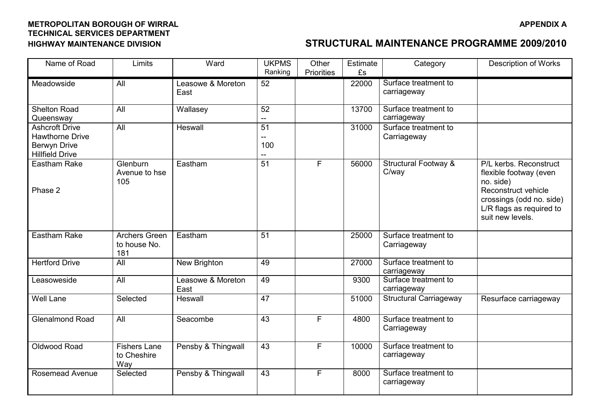| Name of Road                                                                                     | Limits                                      | Ward                      | <b>UKPMS</b><br>Ranking       | Other<br><b>Priorities</b> | Estimate<br>£s | Category                                 | <b>Description of Works</b>                                                                                                                                      |
|--------------------------------------------------------------------------------------------------|---------------------------------------------|---------------------------|-------------------------------|----------------------------|----------------|------------------------------------------|------------------------------------------------------------------------------------------------------------------------------------------------------------------|
| Meadowside                                                                                       | All                                         | Leasowe & Moreton<br>East | 52                            |                            | 22000          | Surface treatment to<br>carriageway      |                                                                                                                                                                  |
| <b>Shelton Road</b><br>Queensway                                                                 | All                                         | Wallasey                  | 52<br>--                      |                            | 13700          | Surface treatment to<br>carriageway      |                                                                                                                                                                  |
| <b>Ashcroft Drive</b><br><b>Hawthorne Drive</b><br><b>Berwyn Drive</b><br><b>Hillfield Drive</b> | All                                         | Heswall                   | $\overline{51}$<br>$-$<br>100 |                            | 31000          | Surface treatment to<br>Carriageway      |                                                                                                                                                                  |
| <b>Eastham Rake</b><br>Phase 2                                                                   | Glenburn<br>Avenue to hse<br>105            | Eastham                   | 51                            | F                          | 56000          | <b>Structural Footway &amp;</b><br>C/way | P/L kerbs. Reconstruct<br>flexible footway (even<br>no. side)<br>Reconstruct vehicle<br>crossings (odd no. side)<br>L/R flags as required to<br>suit new levels. |
| <b>Eastham Rake</b>                                                                              | <b>Archers Green</b><br>to house No.<br>181 | Eastham                   | 51                            |                            | 25000          | Surface treatment to<br>Carriageway      |                                                                                                                                                                  |
| <b>Hertford Drive</b>                                                                            | All                                         | New Brighton              | 49                            |                            | 27000          | Surface treatment to<br>carriageway      |                                                                                                                                                                  |
| Leasoweside                                                                                      | All                                         | Leasowe & Moreton<br>East | 49                            |                            | 9300           | Surface treatment to<br>carriageway      |                                                                                                                                                                  |
| <b>Well Lane</b>                                                                                 | Selected                                    | Heswall                   | 47                            |                            | 51000          | <b>Structural Carriageway</b>            | Resurface carriageway                                                                                                                                            |
| <b>Glenalmond Road</b>                                                                           | All                                         | Seacombe                  | 43                            | F                          | 4800           | Surface treatment to<br>Carriageway      |                                                                                                                                                                  |
| Oldwood Road                                                                                     | <b>Fishers Lane</b><br>to Cheshire<br>Way   | Pensby & Thingwall        | 43                            | F                          | 10000          | Surface treatment to<br>carriageway      |                                                                                                                                                                  |
| <b>Rosemead Avenue</b>                                                                           | Selected                                    | Pensby & Thingwall        | 43                            | F                          | 8000           | Surface treatment to<br>carriageway      |                                                                                                                                                                  |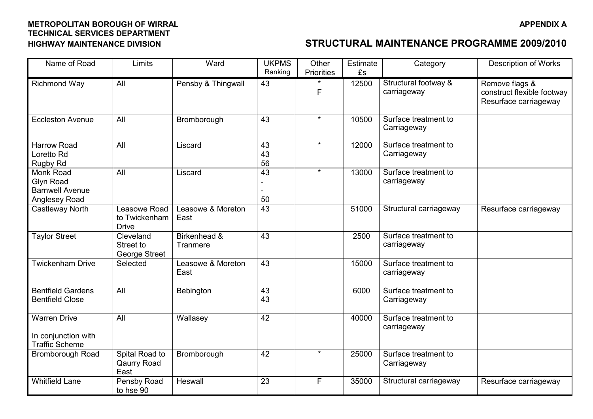| Name of Road                                                             | Limits                                        | Ward                      | <b>UKPMS</b><br>Ranking | Other<br><b>Priorities</b> | Estimate<br>£s | Category                            | <b>Description of Works</b>                                           |
|--------------------------------------------------------------------------|-----------------------------------------------|---------------------------|-------------------------|----------------------------|----------------|-------------------------------------|-----------------------------------------------------------------------|
| Richmond Way                                                             | All                                           | Pensby & Thingwall        | 43                      | F                          | 12500          | Structural footway &<br>carriageway | Remove flags &<br>construct flexible footway<br>Resurface carriageway |
| <b>Eccleston Avenue</b>                                                  | All                                           | Bromborough               | 43                      | $\star$                    | 10500          | Surface treatment to<br>Carriageway |                                                                       |
| <b>Harrow Road</b><br>Loretto Rd<br>Rugby Rd                             | All                                           | Liscard                   | 43<br>43<br>56          | $\star$                    | 12000          | Surface treatment to<br>Carriageway |                                                                       |
| Monk Road<br>Glyn Road<br><b>Barnwell Avenue</b><br><b>Anglesey Road</b> | All                                           | Liscard                   | 43<br>50                | $\star$                    | 13000          | Surface treatment to<br>carriageway |                                                                       |
| Castleway North                                                          | Leasowe Road<br>to Twickenham<br><b>Drive</b> | Leasowe & Moreton<br>East | $\overline{43}$         |                            | 51000          | Structural carriageway              | Resurface carriageway                                                 |
| <b>Taylor Street</b>                                                     | Cleveland<br>Street to<br>George Street       | Birkenhead &<br>Tranmere  | 43                      |                            | 2500           | Surface treatment to<br>carriageway |                                                                       |
| <b>Twickenham Drive</b>                                                  | Selected                                      | Leasowe & Moreton<br>East | 43                      |                            | 15000          | Surface treatment to<br>carriageway |                                                                       |
| <b>Bentfield Gardens</b><br><b>Bentfield Close</b>                       | All                                           | Bebington                 | 43<br>43                |                            | 6000           | Surface treatment to<br>Carriageway |                                                                       |
| <b>Warren Drive</b><br>In conjunction with<br><b>Traffic Scheme</b>      | All                                           | Wallasey                  | 42                      |                            | 40000          | Surface treatment to<br>carriageway |                                                                       |
| Bromborough Road                                                         | Spital Road to<br>Qaurry Road<br>East         | Bromborough               | 42                      | $\star$                    | 25000          | Surface treatment to<br>Carriageway |                                                                       |
| <b>Whitfield Lane</b>                                                    | Pensby Road<br>to hse 90                      | Heswall                   | 23                      | F                          | 35000          | Structural carriageway              | Resurface carriageway                                                 |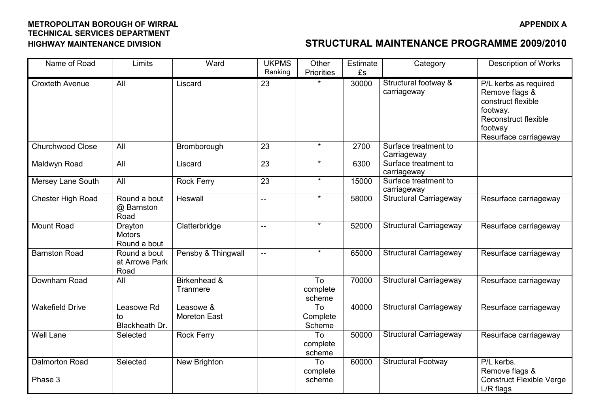| Name of Road                     | Limits                                   | Ward                             | <b>UKPMS</b><br>Ranking  | Other<br><b>Priorities</b> | Estimate<br>£s | Category                            | <b>Description of Works</b>                                                                                                           |
|----------------------------------|------------------------------------------|----------------------------------|--------------------------|----------------------------|----------------|-------------------------------------|---------------------------------------------------------------------------------------------------------------------------------------|
| <b>Croxteth Avenue</b>           | All                                      | Liscard                          | 23                       |                            | 30000          | Structural footway &<br>carriageway | P/L kerbs as required<br>Remove flags &<br>construct flexible<br>footway.<br>Reconstruct flexible<br>footway<br>Resurface carriageway |
| <b>Churchwood Close</b>          | All                                      | Bromborough                      | 23                       | $\star$                    | 2700           | Surface treatment to<br>Carriageway |                                                                                                                                       |
| Maldwyn Road                     | All                                      | Liscard                          | 23                       | $\star$                    | 6300           | Surface treatment to<br>carriageway |                                                                                                                                       |
| Mersey Lane South                | All                                      | <b>Rock Ferry</b>                | 23                       | $\star$                    | 15000          | Surface treatment to<br>carriageway |                                                                                                                                       |
| Chester High Road                | Round a bout<br>@ Barnston<br>Road       | Heswall                          | $\overline{a}$           | $\star$                    | 58000          | <b>Structural Carriageway</b>       | Resurface carriageway                                                                                                                 |
| Mount Road                       | Drayton<br><b>Motors</b><br>Round a bout | Clatterbridge                    | $\overline{\phantom{a}}$ | $\star$                    | 52000          | <b>Structural Carriageway</b>       | Resurface carriageway                                                                                                                 |
| <b>Barnston Road</b>             | Round a bout<br>at Arrowe Park<br>Road   | Pensby & Thingwall               | $\overline{\phantom{m}}$ | $\star$                    | 65000          | <b>Structural Carriageway</b>       | Resurface carriageway                                                                                                                 |
| Downham Road                     | All                                      | Birkenhead &<br>Tranmere         |                          | To<br>complete<br>scheme   | 70000          | <b>Structural Carriageway</b>       | Resurface carriageway                                                                                                                 |
| <b>Wakefield Drive</b>           | Leasowe Rd<br>to<br>Blackheath Dr.       | Leasowe &<br><b>Moreton East</b> |                          | To<br>Complete<br>Scheme   | 40000          | <b>Structural Carriageway</b>       | Resurface carriageway                                                                                                                 |
| <b>Well Lane</b>                 | Selected                                 | <b>Rock Ferry</b>                |                          | To<br>complete<br>scheme   | 50000          | <b>Structural Carriageway</b>       | Resurface carriageway                                                                                                                 |
| <b>Dalmorton Road</b><br>Phase 3 | Selected                                 | New Brighton                     |                          | To<br>complete<br>scheme   | 60000          | <b>Structural Footway</b>           | P/L kerbs.<br>Remove flags &<br><b>Construct Flexible Verge</b><br>L/R flags                                                          |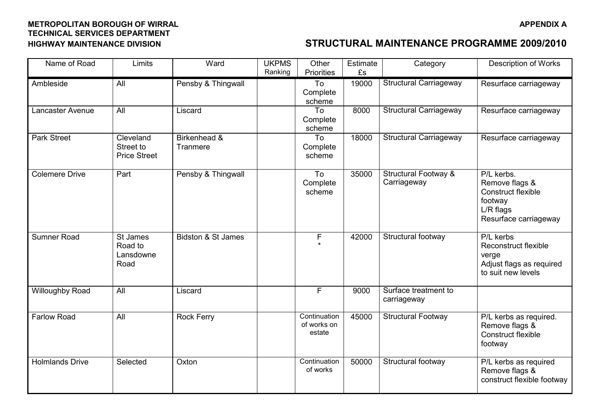| Name of Road           | Limits                                        | Ward                          | <b>UKPMS</b><br>Ranking | Other<br><b>Priorities</b>            | Estimate<br>£s | Category                                       | <b>Description of Works</b>                                                                         |
|------------------------|-----------------------------------------------|-------------------------------|-------------------------|---------------------------------------|----------------|------------------------------------------------|-----------------------------------------------------------------------------------------------------|
| Ambleside              | All                                           | Pensby & Thingwall            |                         | To<br>Complete<br>scheme              | 19000          | <b>Structural Carriageway</b>                  | Resurface carriageway                                                                               |
| Lancaster Avenue       | All                                           | Liscard                       |                         | To<br>Complete<br>scheme              | 8000           | <b>Structural Carriageway</b>                  | Resurface carriageway                                                                               |
| <b>Park Street</b>     | Cleveland<br>Street to<br><b>Price Street</b> | Birkenhead &<br>Tranmere      |                         | To<br>Complete<br>scheme              | 18000          | <b>Structural Carriageway</b>                  | Resurface carriageway                                                                               |
| <b>Colemere Drive</b>  | Part                                          | Pensby & Thingwall            |                         | $\overline{10}$<br>Complete<br>scheme | 35000          | <b>Structural Footway &amp;</b><br>Carriageway | P/L kerbs.<br>Remove flags &<br>Construct flexible<br>footway<br>L/R flags<br>Resurface carriageway |
| <b>Sumner Road</b>     | St James<br>Road to<br>Lansdowne<br>Road      | <b>Bidston &amp; St James</b> |                         | F                                     | 42000          | Structural footway                             | P/L kerbs<br>Reconstruct flexible<br>verge<br>Adjust flags as required<br>to suit new levels        |
| <b>Willoughby Road</b> | All                                           | Liscard                       |                         | F                                     | 9000           | Surface treatment to<br>carriageway            |                                                                                                     |
| <b>Farlow Road</b>     | All                                           | <b>Rock Ferry</b>             |                         | Continuation<br>of works on<br>estate | 45000          | <b>Structural Footway</b>                      | P/L kerbs as required.<br>Remove flags &<br>Construct flexible<br>footway                           |
| <b>Holmlands Drive</b> | Selected                                      | Oxton                         |                         | Continuation<br>of works              | 50000          | Structural footway                             | P/L kerbs as required<br>Remove flags &<br>construct flexible footway                               |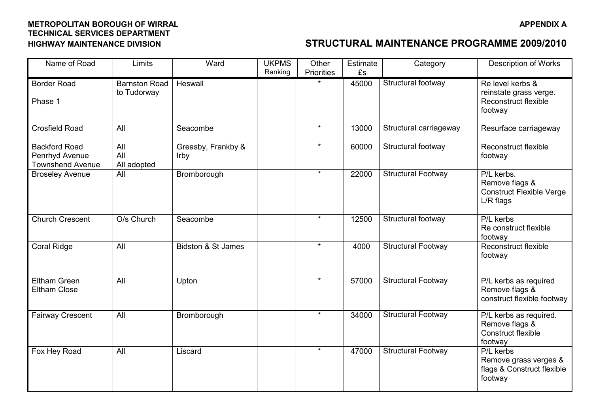| Name of Road                                                      | Limits                              | Ward                       | <b>UKPMS</b><br>Ranking | Other<br><b>Priorities</b> | Estimate<br>£s | Category                  | <b>Description of Works</b>                                                        |
|-------------------------------------------------------------------|-------------------------------------|----------------------------|-------------------------|----------------------------|----------------|---------------------------|------------------------------------------------------------------------------------|
| <b>Border Road</b><br>Phase 1                                     | <b>Barnston Road</b><br>to Tudorway | Heswall                    |                         |                            | 45000          | Structural footway        | Re level kerbs &<br>reinstate grass verge.<br>Reconstruct flexible<br>footway      |
| <b>Crosfield Road</b>                                             | All                                 | Seacombe                   |                         | $\star$                    | 13000          | Structural carriageway    | Resurface carriageway                                                              |
| <b>Backford Road</b><br>Penrhyd Avenue<br><b>Townshend Avenue</b> | All<br>All<br>All adopted           | Greasby, Frankby &<br>Irby |                         | $\star$                    | 60000          | Structural footway        | Reconstruct flexible<br>footway                                                    |
| <b>Broseley Avenue</b>                                            | All                                 | Bromborough                |                         | $\star$                    | 22000          | <b>Structural Footway</b> | P/L kerbs.<br>Remove flags &<br><b>Construct Flexible Verge</b><br>L/R flags       |
| <b>Church Crescent</b>                                            | O/s Church                          | Seacombe                   |                         | $\star$                    | 12500          | Structural footway        | P/L kerbs<br>Re construct flexible<br>footway                                      |
| <b>Coral Ridge</b>                                                | All                                 | Bidston & St James         |                         | $\star$                    | 4000           | <b>Structural Footway</b> | Reconstruct flexible<br>footway                                                    |
| <b>Eltham Green</b><br><b>Eltham Close</b>                        | All                                 | Upton                      |                         | $\star$                    | 57000          | <b>Structural Footway</b> | $\overline{P/L}$ kerbs as required<br>Remove flags &<br>construct flexible footway |
| <b>Fairway Crescent</b>                                           | All                                 | Bromborough                |                         | $\star$                    | 34000          | <b>Structural Footway</b> | P/L kerbs as required.<br>Remove flags &<br>Construct flexible<br>footway          |
| Fox Hey Road                                                      | All                                 | Liscard                    |                         | $\star$                    | 47000          | <b>Structural Footway</b> | P/L kerbs<br>Remove grass verges &<br>flags & Construct flexible<br>footway        |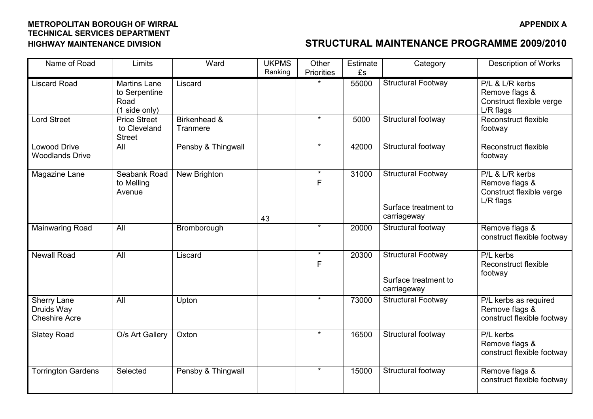| Name of Road                                      | Limits                                                        | Ward                     | <b>UKPMS</b><br>Ranking | Other<br>Priorities | Estimate<br>£s | Category                                                         | <b>Description of Works</b>                                                |
|---------------------------------------------------|---------------------------------------------------------------|--------------------------|-------------------------|---------------------|----------------|------------------------------------------------------------------|----------------------------------------------------------------------------|
| <b>Liscard Road</b>                               | <b>Martins Lane</b><br>to Serpentine<br>Road<br>(1 side only) | Liscard                  |                         |                     | 55000          | <b>Structural Footway</b>                                        | P/L & L/R kerbs<br>Remove flags &<br>Construct flexible verge<br>L/R flags |
| <b>Lord Street</b>                                | <b>Price Street</b><br>to Cleveland<br><b>Street</b>          | Birkenhead &<br>Tranmere |                         | $\star$             | 5000           | Structural footway                                               | Reconstruct flexible<br>footway                                            |
| <b>Lowood Drive</b><br><b>Woodlands Drive</b>     | All                                                           | Pensby & Thingwall       |                         | $\star$             | 42000          | Structural footway                                               | Reconstruct flexible<br>footway                                            |
| Magazine Lane                                     | Seabank Road<br>to Melling<br>Avenue                          | New Brighton             | 43                      | $\star$<br>F        | 31000          | <b>Structural Footway</b><br>Surface treatment to<br>carriageway | P/L & L/R kerbs<br>Remove flags &<br>Construct flexible verge<br>L/R flags |
| <b>Mainwaring Road</b>                            | All                                                           | Bromborough              |                         | $\star$             | 20000          | Structural footway                                               | Remove flags &<br>construct flexible footway                               |
| <b>Newall Road</b>                                | All                                                           | Liscard                  |                         | $\star$<br>F        | 20300          | <b>Structural Footway</b><br>Surface treatment to<br>carriageway | P/L kerbs<br>Reconstruct flexible<br>footway                               |
| Sherry Lane<br>Druids Way<br><b>Cheshire Acre</b> | All                                                           | Upton                    |                         | $\star$             | 73000          | <b>Structural Footway</b>                                        | P/L kerbs as required<br>Remove flags &<br>construct flexible footway      |
| <b>Slatey Road</b>                                | O/s Art Gallery                                               | Oxton                    |                         | $\star$             | 16500          | Structural footway                                               | P/L kerbs<br>Remove flags &<br>construct flexible footway                  |
| <b>Torrington Gardens</b>                         | Selected                                                      | Pensby & Thingwall       |                         | $\star$             | 15000          | Structural footway                                               | Remove flags &<br>construct flexible footway                               |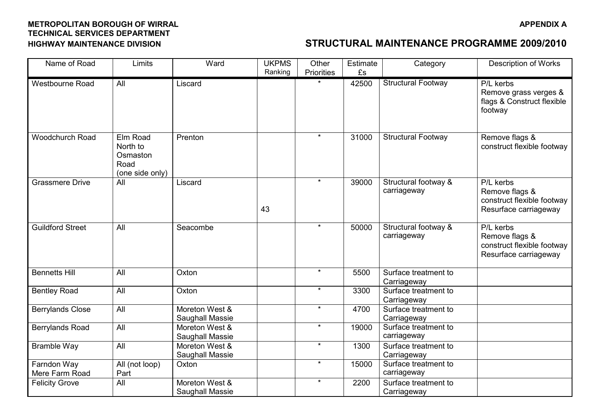| Name of Road                  | Limits                                                      | Ward                              | <b>UKPMS</b><br>Ranking | Other<br><b>Priorities</b> | Estimate<br>£s | Category                            | <b>Description of Works</b>                                                        |
|-------------------------------|-------------------------------------------------------------|-----------------------------------|-------------------------|----------------------------|----------------|-------------------------------------|------------------------------------------------------------------------------------|
| <b>Westbourne Road</b>        | <b>All</b>                                                  | Liscard                           |                         |                            | 42500          | <b>Structural Footway</b>           | P/L kerbs<br>Remove grass verges &<br>flags & Construct flexible<br>footway        |
| <b>Woodchurch Road</b>        | Elm Road<br>North to<br>Osmaston<br>Road<br>(one side only) | Prenton                           |                         | $\star$                    | 31000          | <b>Structural Footway</b>           | Remove flags &<br>construct flexible footway                                       |
| <b>Grassmere Drive</b>        | All                                                         | Liscard                           | 43                      | $\star$                    | 39000          | Structural footway &<br>carriageway | P/L kerbs<br>Remove flags &<br>construct flexible footway<br>Resurface carriageway |
| <b>Guildford Street</b>       | All                                                         | Seacombe                          |                         | $\star$                    | 50000          | Structural footway &<br>carriageway | P/L kerbs<br>Remove flags &<br>construct flexible footway<br>Resurface carriageway |
| <b>Bennetts Hill</b>          | All                                                         | Oxton                             |                         | $\star$                    | 5500           | Surface treatment to<br>Carriageway |                                                                                    |
| <b>Bentley Road</b>           | All                                                         | Oxton                             |                         | $\star$                    | 3300           | Surface treatment to<br>Carriageway |                                                                                    |
| <b>Berrylands Close</b>       | All                                                         | Moreton West &<br>Saughall Massie |                         | $\star$                    | 4700           | Surface treatment to<br>Carriageway |                                                                                    |
| Berrylands Road               | All                                                         | Moreton West &<br>Saughall Massie |                         | $\star$                    | 19000          | Surface treatment to<br>carriageway |                                                                                    |
| <b>Bramble Way</b>            | All                                                         | Moreton West &<br>Saughall Massie |                         | $\star$                    | 1300           | Surface treatment to<br>Carriageway |                                                                                    |
| Farndon Way<br>Mere Farm Road | All (not loop)<br>Part                                      | Oxton                             |                         | $\star$                    | 15000          | Surface treatment to<br>carriageway |                                                                                    |
| <b>Felicity Grove</b>         | All                                                         | Moreton West &<br>Saughall Massie |                         | $\star$                    | 2200           | Surface treatment to<br>Carriageway |                                                                                    |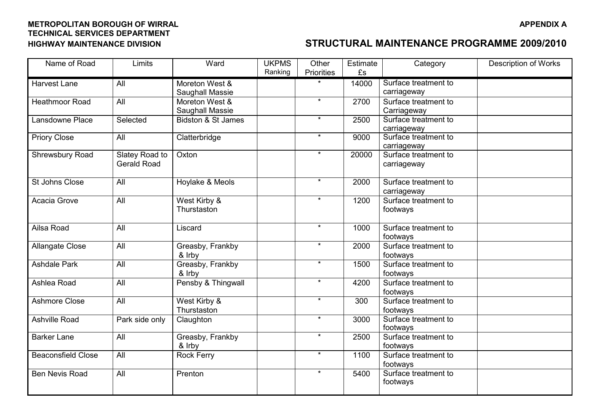| Name of Road              | Limits                               | Ward                              | <b>UKPMS</b> | Other      | Estimate | Category                            | Description of Works |
|---------------------------|--------------------------------------|-----------------------------------|--------------|------------|----------|-------------------------------------|----------------------|
|                           |                                      |                                   | Ranking      | Priorities | £s       |                                     |                      |
| <b>Harvest Lane</b>       | All                                  | Moreton West &<br>Saughall Massie |              |            | 14000    | Surface treatment to<br>carriageway |                      |
| <b>Heathmoor Road</b>     | All                                  | Moreton West &<br>Saughall Massie |              | $\star$    | 2700     | Surface treatment to<br>Carriageway |                      |
| Lansdowne Place           | Selected                             | Bidston & St James                |              | $\star$    | 2500     | Surface treatment to<br>carriageway |                      |
| <b>Priory Close</b>       | All                                  | Clatterbridge                     |              | $\star$    | 9000     | Surface treatment to<br>carriageway |                      |
| Shrewsbury Road           | Slatey Road to<br><b>Gerald Road</b> | Oxton                             |              | $\star$    | 20000    | Surface treatment to<br>carriageway |                      |
| St Johns Close            | All                                  | Hoylake & Meols                   |              | $\star$    | 2000     | Surface treatment to<br>carriageway |                      |
| Acacia Grove              | All                                  | West Kirby &<br>Thurstaston       |              | $\star$    | 1200     | Surface treatment to<br>footways    |                      |
| Ailsa Road                | All                                  | Liscard                           |              | $\star$    | 1000     | Surface treatment to<br>footways    |                      |
| <b>Allangate Close</b>    | All                                  | Greasby, Frankby<br>& Irby        |              | $\star$    | 2000     | Surface treatment to<br>footways    |                      |
| <b>Ashdale Park</b>       | All                                  | Greasby, Frankby<br>& Irby        |              | $\star$    | 1500     | Surface treatment to<br>footways    |                      |
| Ashlea Road               | All                                  | Pensby & Thingwall                |              | $\star$    | 4200     | Surface treatment to<br>footways    |                      |
| <b>Ashmore Close</b>      | $\overline{All}$                     | West Kirby &<br>Thurstaston       |              | $\star$    | 300      | Surface treatment to<br>footways    |                      |
| <b>Ashville Road</b>      | Park side only                       | Claughton                         |              | $\star$    | 3000     | Surface treatment to<br>footways    |                      |
| <b>Barker Lane</b>        | All                                  | Greasby, Frankby<br>& Irby        |              | $\star$    | 2500     | Surface treatment to<br>footways    |                      |
| <b>Beaconsfield Close</b> | $\overline{All}$                     | <b>Rock Ferry</b>                 |              | $\star$    | 1100     | Surface treatment to<br>footways    |                      |
| <b>Ben Nevis Road</b>     | All                                  | Prenton                           |              | $\star$    | 5400     | Surface treatment to<br>footways    |                      |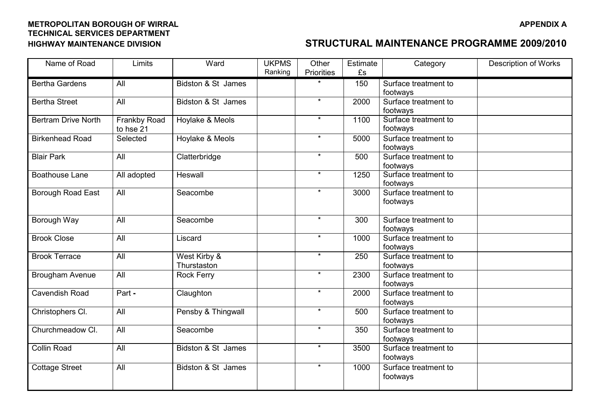| Name of Road               | Limits                    | Ward                        | <b>UKPMS</b> | Other      | Estimate | Category                         | <b>Description of Works</b> |
|----------------------------|---------------------------|-----------------------------|--------------|------------|----------|----------------------------------|-----------------------------|
|                            |                           |                             | Ranking      | Priorities | £s       |                                  |                             |
| <b>Bertha Gardens</b>      | All                       | Bidston & St James          |              |            | 150      | Surface treatment to             |                             |
|                            |                           |                             |              |            |          | footways                         |                             |
| <b>Bertha Street</b>       | All                       | Bidston & St James          |              | $\star$    | 2000     | Surface treatment to             |                             |
|                            |                           |                             |              |            |          | footways                         |                             |
| <b>Bertram Drive North</b> | Frankby Road<br>to hse 21 | Hoylake & Meols             |              | $\star$    | 1100     | Surface treatment to<br>footways |                             |
| <b>Birkenhead Road</b>     | Selected                  | Hoylake & Meols             |              | $\star$    | 5000     | Surface treatment to<br>footways |                             |
| <b>Blair Park</b>          | All                       | Clatterbridge               |              | $\star$    | 500      | Surface treatment to<br>footways |                             |
| <b>Boathouse Lane</b>      | All adopted               | Heswall                     |              | $\star$    | 1250     | Surface treatment to<br>footways |                             |
| Borough Road East          | <b>All</b>                | Seacombe                    |              | $\star$    | 3000     | Surface treatment to<br>footways |                             |
| Borough Way                | All                       | Seacombe                    |              | $\star$    | 300      | Surface treatment to<br>footways |                             |
| <b>Brook Close</b>         | All                       | Liscard                     |              | $\star$    | 1000     | Surface treatment to<br>footways |                             |
| <b>Brook Terrace</b>       | All                       | West Kirby &<br>Thurstaston |              | $\star$    | 250      | Surface treatment to<br>footways |                             |
| Brougham Avenue            | All                       | <b>Rock Ferry</b>           |              | $\star$    | 2300     | Surface treatment to<br>footways |                             |
| Cavendish Road             | Part -                    | Claughton                   |              | $\star$    | 2000     | Surface treatment to<br>footways |                             |
| Christophers Cl.           | All                       | Pensby & Thingwall          |              | $\star$    | 500      | Surface treatment to<br>footways |                             |
| Churchmeadow Cl.           | All                       | Seacombe                    |              | $\star$    | 350      | Surface treatment to<br>footways |                             |
| <b>Collin Road</b>         | All                       | Bidston & St James          |              | $\star$    | 3500     | Surface treatment to<br>footways |                             |
| Cottage Street             | All                       | Bidston & St James          |              | $\star$    | 1000     | Surface treatment to<br>footways |                             |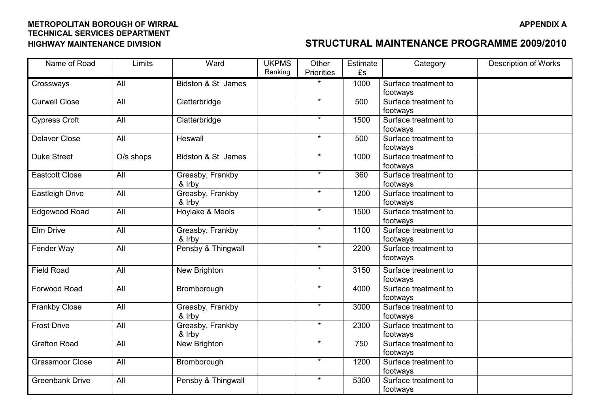| Name of Road           | Limits    | Ward                       | <b>UKPMS</b> | Other             | Estimate | Category                         | Description of Works |
|------------------------|-----------|----------------------------|--------------|-------------------|----------|----------------------------------|----------------------|
|                        |           |                            | Ranking      | <b>Priorities</b> | £s       |                                  |                      |
| Crossways              | All       | Bidston & St James         |              |                   | 1000     | Surface treatment to             |                      |
|                        |           |                            |              |                   |          | footways                         |                      |
| <b>Curwell Close</b>   | All       | Clatterbridge              |              | $\star$           | 500      | Surface treatment to             |                      |
|                        |           |                            |              |                   |          | footways                         |                      |
| Cypress Croft          | All       | Clatterbridge              |              | $\star$           | 1500     | Surface treatment to<br>footways |                      |
| <b>Delavor Close</b>   | All       | Heswall                    |              | $\star$           | 500      | Surface treatment to             |                      |
|                        |           |                            |              |                   |          | footways                         |                      |
| <b>Duke Street</b>     | O/s shops | Bidston & St James         |              | $\star$           | 1000     | Surface treatment to             |                      |
|                        |           |                            |              | $\star$           |          | footways                         |                      |
| <b>Eastcott Close</b>  | All       | Greasby, Frankby<br>& Irby |              |                   | 360      | Surface treatment to<br>footways |                      |
| <b>Eastleigh Drive</b> | All       | Greasby, Frankby           |              | $\star$           | 1200     | Surface treatment to             |                      |
|                        |           | & Irby                     |              |                   |          | footways                         |                      |
| <b>Edgewood Road</b>   | All       | Hoylake & Meols            |              | $\star$           | 1500     | Surface treatment to             |                      |
|                        |           |                            |              |                   |          | footways                         |                      |
| Elm Drive              | All       | Greasby, Frankby           |              | $\star$           | 1100     | Surface treatment to             |                      |
|                        |           | & Irby                     |              |                   |          | footways                         |                      |
| Fender Way             | All       | Pensby & Thingwall         |              | $\star$           | 2200     | Surface treatment to             |                      |
|                        |           |                            |              |                   |          | footways                         |                      |
| <b>Field Road</b>      | All       | New Brighton               |              | $\star$           | 3150     | Surface treatment to             |                      |
|                        |           |                            |              |                   |          | footways                         |                      |
| Forwood Road           | All       | Bromborough                |              | $\star$           | 4000     | Surface treatment to             |                      |
|                        |           |                            |              |                   |          | footways                         |                      |
| Frankby Close          | All       | Greasby, Frankby           |              | $\star$           | 3000     | Surface treatment to             |                      |
|                        |           | & Irby                     |              | $\star$           |          | footways                         |                      |
| <b>Frost Drive</b>     | All       | Greasby, Frankby           |              |                   | 2300     | Surface treatment to             |                      |
| <b>Grafton Road</b>    | All       | & Irby<br>New Brighton     |              | $\star$           | 750      | footways<br>Surface treatment to |                      |
|                        |           |                            |              |                   |          | footways                         |                      |
| <b>Grassmoor Close</b> | All       | Bromborough                |              | $\star$           | 1200     | Surface treatment to             |                      |
|                        |           |                            |              |                   |          | footways                         |                      |
| <b>Greenbank Drive</b> | All       | Pensby & Thingwall         |              | $\star$           | 5300     | Surface treatment to             |                      |
|                        |           |                            |              |                   |          | footways                         |                      |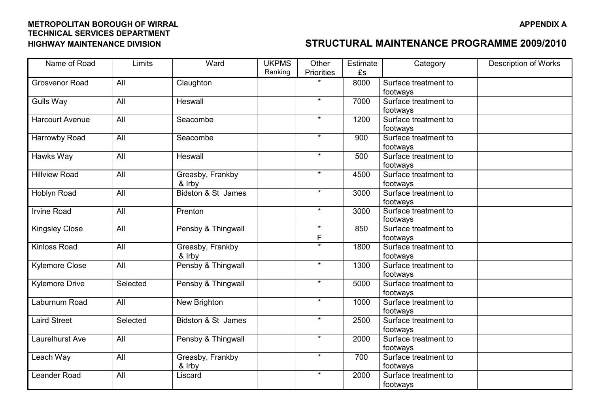| Name of Road           | Limits   | Ward               | <b>UKPMS</b> | Other                  | Estimate | Category             | <b>Description of Works</b> |
|------------------------|----------|--------------------|--------------|------------------------|----------|----------------------|-----------------------------|
|                        |          |                    | Ranking      | Priorities             | £s       |                      |                             |
| Grosvenor Road         | All      | Claughton          |              |                        | 8000     | Surface treatment to |                             |
|                        |          |                    |              |                        |          | footways             |                             |
| <b>Gulls Way</b>       | All      | Heswall            |              | $\star$                | 7000     | Surface treatment to |                             |
|                        |          |                    |              |                        |          | footways             |                             |
| <b>Harcourt Avenue</b> | All      | Seacombe           |              | $\star$                | 1200     | Surface treatment to |                             |
|                        |          |                    |              |                        |          | footways             |                             |
| Harrowby Road          | All      | Seacombe           |              | $\star$                | 900      | Surface treatment to |                             |
|                        |          |                    |              |                        |          | footways             |                             |
| Hawks Way              | All      | Heswall            |              | $\star$                | 500      | Surface treatment to |                             |
|                        |          |                    |              |                        |          | footways             |                             |
| <b>Hillview Road</b>   | All      | Greasby, Frankby   |              | $\star$                | 4500     | Surface treatment to |                             |
|                        |          | & Irby             |              |                        |          | footways             |                             |
| Hoblyn Road            | All      | Bidston & St James |              | $\star$                | 3000     | Surface treatment to |                             |
|                        |          |                    |              |                        |          | footways             |                             |
| <b>Irvine Road</b>     | All      | Prenton            |              | $\star$                | 3000     | Surface treatment to |                             |
|                        |          |                    |              |                        |          | footways             |                             |
| <b>Kingsley Close</b>  | All      | Pensby & Thingwall |              | $\star$                | 850      | Surface treatment to |                             |
|                        |          |                    |              | F<br>$\overline{\ast}$ |          | footways             |                             |
| <b>Kinloss Road</b>    | All      | Greasby, Frankby   |              |                        | 1800     | Surface treatment to |                             |
|                        |          | & Irby             |              | $\star$                |          | footways             |                             |
| <b>Kylemore Close</b>  | All      | Pensby & Thingwall |              |                        | 1300     | Surface treatment to |                             |
|                        |          |                    |              | $\star$                |          | footways             |                             |
| <b>Kylemore Drive</b>  | Selected | Pensby & Thingwall |              |                        | 5000     | Surface treatment to |                             |
|                        |          |                    |              | $\star$                |          | footways             |                             |
| Laburnum Road          | All      | New Brighton       |              |                        | 1000     | Surface treatment to |                             |
|                        |          |                    |              | $\star$                |          | footways             |                             |
| <b>Laird Street</b>    | Selected | Bidston & St James |              |                        | 2500     | Surface treatment to |                             |
|                        |          |                    |              | $\star$                |          | footways             |                             |
| <b>Laurelhurst Ave</b> | All      | Pensby & Thingwall |              |                        | 2000     | Surface treatment to |                             |
|                        |          |                    |              | $\star$                |          | footways             |                             |
| Leach Way              | All      | Greasby, Frankby   |              |                        | 700      | Surface treatment to |                             |
|                        |          | & Irby             |              | $\star$                |          | footways             |                             |
| Leander Road           | All      | Liscard            |              |                        | 2000     | Surface treatment to |                             |
|                        |          |                    |              |                        |          | footways             |                             |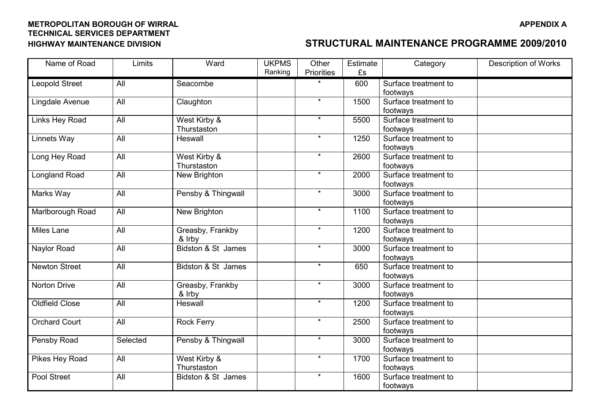| Name of Road          | Limits           | Ward               | <b>UKPMS</b> | Other      | Estimate | Category             | <b>Description of Works</b> |
|-----------------------|------------------|--------------------|--------------|------------|----------|----------------------|-----------------------------|
|                       |                  |                    | Ranking      | Priorities | £s       |                      |                             |
| <b>Leopold Street</b> | All              | Seacombe           |              |            | 600      | Surface treatment to |                             |
|                       |                  |                    |              |            |          | footways             |                             |
| Lingdale Avenue       | All              | Claughton          |              | $\star$    | 1500     | Surface treatment to |                             |
|                       |                  |                    |              |            |          | footways             |                             |
| Links Hey Road        | All              | West Kirby &       |              | $\star$    | 5500     | Surface treatment to |                             |
|                       |                  | Thurstaston        |              |            |          | footways             |                             |
| Linnets Way           | All              | Heswall            |              | $\star$    | 1250     | Surface treatment to |                             |
|                       |                  |                    |              |            |          | footways             |                             |
| Long Hey Road         | All              | West Kirby &       |              | $\star$    | 2600     | Surface treatment to |                             |
|                       |                  | Thurstaston        |              |            |          | footways             |                             |
| <b>Longland Road</b>  | All              | New Brighton       |              | $\star$    | 2000     | Surface treatment to |                             |
|                       |                  |                    |              |            |          | footways             |                             |
| Marks Way             | All              | Pensby & Thingwall |              | $\star$    | 3000     | Surface treatment to |                             |
|                       |                  |                    |              |            |          | footways             |                             |
| Marlborough Road      | All              | New Brighton       |              | $\star$    | 1100     | Surface treatment to |                             |
|                       |                  |                    |              |            |          | footways             |                             |
| <b>Miles Lane</b>     | $\overline{All}$ | Greasby, Frankby   |              | $\star$    | 1200     | Surface treatment to |                             |
|                       |                  | & Irby             |              |            |          | footways             |                             |
| Naylor Road           | All              | Bidston & St James |              | $\star$    | 3000     | Surface treatment to |                             |
|                       |                  |                    |              |            |          | footways             |                             |
| <b>Newton Street</b>  | All              | Bidston & St James |              | $\star$    | 650      | Surface treatment to |                             |
|                       |                  |                    |              | $\star$    |          | footways             |                             |
| Norton Drive          | All              | Greasby, Frankby   |              |            | 3000     | Surface treatment to |                             |
|                       |                  | & Irby             |              | $\star$    |          | footways             |                             |
| <b>Oldfield Close</b> | All              | Heswall            |              |            | 1200     | Surface treatment to |                             |
|                       |                  |                    |              | $\star$    |          | footways             |                             |
| <b>Orchard Court</b>  | All              | <b>Rock Ferry</b>  |              |            | 2500     | Surface treatment to |                             |
|                       |                  |                    |              | $\star$    |          | footways             |                             |
| Pensby Road           | Selected         | Pensby & Thingwall |              |            | 3000     | Surface treatment to |                             |
|                       |                  |                    |              | $\star$    |          | footways             |                             |
| Pikes Hey Road        | All              | West Kirby &       |              |            | 1700     | Surface treatment to |                             |
|                       |                  | Thurstaston        |              | $\star$    |          | footways             |                             |
| Pool Street           | All              | Bidston & St James |              |            | 1600     | Surface treatment to |                             |
|                       |                  |                    |              |            |          | footways             |                             |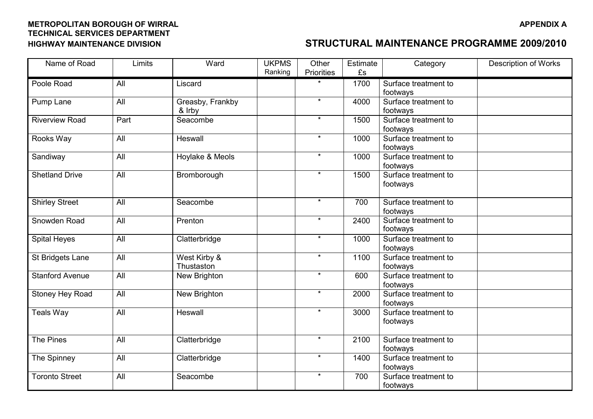| Name of Road           | Limits           | Ward             | <b>UKPMS</b> | Other      | Estimate | Category                         | <b>Description of Works</b> |
|------------------------|------------------|------------------|--------------|------------|----------|----------------------------------|-----------------------------|
|                        |                  |                  | Ranking      | Priorities | £s       |                                  |                             |
| Poole Road             | All              | Liscard          |              |            | 1700     | Surface treatment to             |                             |
|                        |                  |                  |              |            |          | footways                         |                             |
| Pump Lane              | All              | Greasby, Frankby |              | $\star$    | 4000     | Surface treatment to             |                             |
|                        |                  | & Irby           |              |            |          | footways                         |                             |
| <b>Riverview Road</b>  | Part             | Seacombe         |              | $\star$    | 1500     | Surface treatment to             |                             |
|                        |                  |                  |              |            |          | footways                         |                             |
| Rooks Way              | All              | Heswall          |              | $\star$    | 1000     | Surface treatment to             |                             |
|                        |                  |                  |              |            |          | footways                         |                             |
| Sandiway               | All              | Hoylake & Meols  |              | $\star$    | 1000     | Surface treatment to             |                             |
|                        |                  |                  |              |            |          | footways                         |                             |
| <b>Shetland Drive</b>  | All              | Bromborough      |              | $\star$    | 1500     | Surface treatment to             |                             |
|                        |                  |                  |              |            |          | footways                         |                             |
|                        |                  |                  |              |            |          |                                  |                             |
| <b>Shirley Street</b>  | All              | Seacombe         |              | $\star$    | 700      | Surface treatment to             |                             |
|                        |                  |                  |              |            |          | footways                         |                             |
| Snowden Road           | All              | Prenton          |              | $\star$    | 2400     | Surface treatment to             |                             |
|                        |                  |                  |              | $\star$    |          | footways                         |                             |
| <b>Spital Heyes</b>    | All              | Clatterbridge    |              |            | 1000     | Surface treatment to             |                             |
|                        |                  |                  |              | $\star$    |          | footways                         |                             |
| St Bridgets Lane       | All              | West Kirby &     |              |            | 1100     | Surface treatment to             |                             |
|                        |                  | Thustaston       |              | $\star$    |          | footways                         |                             |
| <b>Stanford Avenue</b> | All              | New Brighton     |              |            | 600      | Surface treatment to             |                             |
| Stoney Hey Road        | All              | New Brighton     |              | $\star$    | 2000     | footways<br>Surface treatment to |                             |
|                        |                  |                  |              |            |          | footways                         |                             |
| <b>Teals Way</b>       | $\overline{All}$ | Heswall          |              | $\star$    | 3000     | Surface treatment to             |                             |
|                        |                  |                  |              |            |          | footways                         |                             |
|                        |                  |                  |              |            |          |                                  |                             |
| The Pines              | All              | Clatterbridge    |              | $\star$    | 2100     | Surface treatment to             |                             |
|                        |                  |                  |              |            |          | footways                         |                             |
| The Spinney            | All              | Clatterbridge    |              | $\star$    | 1400     | Surface treatment to             |                             |
|                        |                  |                  |              |            |          | footways                         |                             |
| <b>Toronto Street</b>  | All              | Seacombe         |              | $\star$    | 700      | Surface treatment to             |                             |
|                        |                  |                  |              |            |          | footways                         |                             |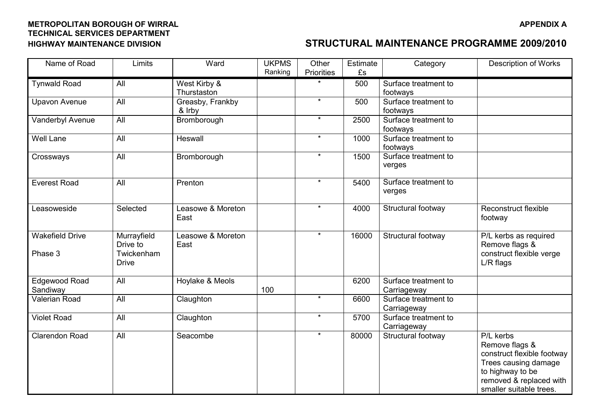| Name of Road           | Limits           | Ward              | <b>UKPMS</b> | Other      | Estimate | Category             | <b>Description of Works</b> |
|------------------------|------------------|-------------------|--------------|------------|----------|----------------------|-----------------------------|
|                        |                  |                   | Ranking      | Priorities | £s       |                      |                             |
| <b>Tynwald Road</b>    | All              | West Kirby &      |              |            | 500      | Surface treatment to |                             |
|                        |                  | Thurstaston       |              |            |          | footways             |                             |
| <b>Upavon Avenue</b>   | $\overline{All}$ | Greasby, Frankby  |              | $\star$    | 500      | Surface treatment to |                             |
|                        |                  | & Irby            |              |            |          | footways             |                             |
| Vanderbyl Avenue       | All              | Bromborough       |              | $\star$    | 2500     | Surface treatment to |                             |
|                        |                  |                   |              |            |          | footways             |                             |
| <b>Well Lane</b>       | All              | Heswall           |              | $\star$    | 1000     | Surface treatment to |                             |
|                        |                  |                   |              |            |          | footways             |                             |
| Crossways              | All              | Bromborough       |              | $\star$    | 1500     | Surface treatment to |                             |
|                        |                  |                   |              |            |          | verges               |                             |
| <b>Everest Road</b>    | $\overline{All}$ | Prenton           |              | $\star$    | 5400     | Surface treatment to |                             |
|                        |                  |                   |              |            |          | verges               |                             |
|                        |                  |                   |              |            |          |                      |                             |
| Leasoweside            | Selected         | Leasowe & Moreton |              | $\star$    | 4000     | Structural footway   | <b>Reconstruct flexible</b> |
|                        |                  | East              |              |            |          |                      | footway                     |
|                        |                  |                   |              |            |          |                      |                             |
| <b>Wakefield Drive</b> | Murrayfield      | Leasowe & Moreton |              | $\star$    | 16000    | Structural footway   | P/L kerbs as required       |
|                        | Drive to         | East              |              |            |          |                      | Remove flags &              |
| Phase 3                | Twickenham       |                   |              |            |          |                      | construct flexible verge    |
|                        | <b>Drive</b>     |                   |              |            |          |                      | L/R flags                   |
|                        |                  |                   |              |            |          |                      |                             |
| Edgewood Road          | All              | Hoylake & Meols   |              |            | 6200     | Surface treatment to |                             |
| Sandiway               |                  |                   | 100          |            |          | Carriageway          |                             |
| <b>Valerian Road</b>   | All              | Claughton         |              | $\star$    | 6600     | Surface treatment to |                             |
|                        |                  |                   |              |            |          | Carriageway          |                             |
| <b>Violet Road</b>     | <b>All</b>       | Claughton         |              | $\star$    | 5700     | Surface treatment to |                             |
|                        |                  |                   |              |            |          | Carriageway          |                             |
| <b>Clarendon Road</b>  | All              | Seacombe          |              | $\star$    | 80000    | Structural footway   | P/L kerbs                   |
|                        |                  |                   |              |            |          |                      | Remove flags &              |
|                        |                  |                   |              |            |          |                      | construct flexible footway  |
|                        |                  |                   |              |            |          |                      | Trees causing damage        |
|                        |                  |                   |              |            |          |                      | to highway to be            |
|                        |                  |                   |              |            |          |                      | removed & replaced with     |
|                        |                  |                   |              |            |          |                      | smaller suitable trees.     |